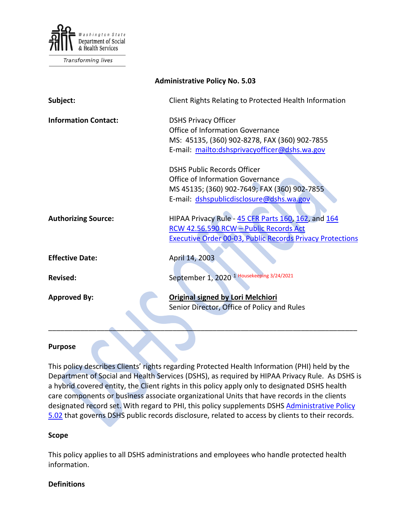

Transforming lives

| <b>Administrative Policy No. 5.03</b> |                                                                  |
|---------------------------------------|------------------------------------------------------------------|
| Subject:                              | Client Rights Relating to Protected Health Information           |
| <b>Information Contact:</b>           | <b>DSHS Privacy Officer</b><br>Office of Information Governance  |
|                                       | MS: 45135, (360) 902-8278, FAX (360) 902-7855                    |
|                                       | E-mail: mailto:dshsprivacyofficer@dshs.wa.gov                    |
|                                       | <b>DSHS Public Records Officer</b>                               |
|                                       | Office of Information Governance                                 |
|                                       | MS 45135; (360) 902-7649; FAX (360) 902-7855                     |
|                                       | E-mail: dshspublicdisclosure@dshs.wa.gov                         |
| <b>Authorizing Source:</b>            | HIPAA Privacy Rule - 45 CFR Parts 160, 162, and 164              |
|                                       | RCW 42.56.590 RCW - Public Records Act                           |
|                                       | <b>Executive Order 00-03, Public Records Privacy Protections</b> |
| <b>Effective Date:</b>                | April 14, 2003                                                   |
| <b>Revised:</b>                       | September 1, 2020 <sup>1</sup> Housekeeping 3/24/2021            |
|                                       |                                                                  |
| <b>Approved By:</b>                   | <b>Original signed by Lori Melchiori</b>                         |
|                                       | Senior Director, Office of Policy and Rules                      |
|                                       |                                                                  |

#### **Purpose**

This policy describes Clients' rights regarding Protected Health Information (PHI) held by the Department of Social and Health Services (DSHS), as required by HIPAA Privacy Rule. As DSHS is a hybrid covered entity, the Client rights in this policy apply only to designated DSHS health care components or business associate organizational Units that have records in the clients designated record set. With regard to PHI, this policy supplements DSHS Administrative Policy [5.02](http://one.dshs.wa.lcl/Policies/Administrative/DSHS-AP-05-02.pdf) that governs DSHS public records disclosure, related to access by clients to their records.

\_\_\_\_\_\_\_\_\_\_\_\_\_\_\_\_\_\_\_\_\_\_\_\_\_\_\_\_\_\_\_\_\_\_\_\_\_\_\_\_\_\_\_\_\_\_\_\_\_\_\_\_\_\_\_\_\_\_\_\_\_\_\_\_\_\_\_\_\_\_\_\_\_\_\_\_\_

#### **Scope**

This policy applies to all DSHS administrations and employees who handle protected health information.

#### **Definitions**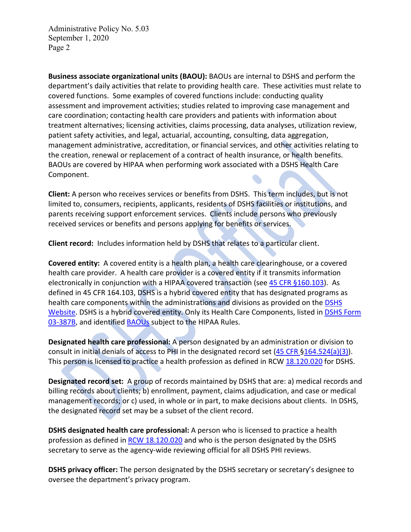**Business associate organizational units (BAOU):** BAOUs are internal to DSHS and perform the department's daily activities that relate to providing health care. These activities must relate to covered functions. Some examples of covered functions include: conducting quality assessment and improvement activities; studies related to improving case management and care coordination; contacting health care providers and patients with information about treatment alternatives; licensing activities, claims processing, data analyses, utilization review, patient safety activities, and legal, actuarial, accounting, consulting, data aggregation, management administrative, accreditation, or financial services, and other activities relating to the creation, renewal or replacement of a contract of health insurance, or health benefits. BAOUs are covered by HIPAA when performing work associated with a DSHS Health Care Component.

**Client:** A person who receives services or benefits from DSHS. This term includes, but is not limited to, consumers, recipients, applicants, residents of DSHS facilities or institutions, and parents receiving support enforcement services. Clients include persons who previously received services or benefits and persons applying for benefits or services.

**Client record:** Includes information held by DSHS that relates to a particular client.

**Covered entity:** A covered entity is a health plan, a health care clearinghouse, or a covered health care provider. A health care provider is a covered entity if it transmits information electronically in conjunction with a HIPAA covered transaction (see [45 CFR §160.103\)](http://www.ecfr.gov/cgi-bin/text-idx?SID=514bad6e2f27a42e8e07ea6c66db3592&node=se45.1.160_1103&rgn=div8). As defined in 45 CFR 164.103, DSHS is a hybrid covered entity that has designated programs as health care components within the administrations and divisions as provided on the DSHS [Website.](http://www.dshs.wa.gov/pdf/ms/forms/03_387add.pdf) DSHS is a hybrid covered entity. Only its Health Care Components, listed in DSHS Form [03-387B,](http://forms.dshs.wa.lcl/formDetails.aspx?ID=13730) and identified [BAOUs](http://one.dshs.wa.lcl/FS/Records/Privacy/Breach/Pages/default.aspx) subject to the HIPAA Rules.

**Designated health care professional:** A person designated by an administration or division to consult in initial denials of access to PHI in the designated record set [\(45 CFR §164.524\(a\)\(3\)\)](https://www.ecfr.gov/cgi-bin/text-idx?SID=b1e1645e3e0cfe688cf0b1522062dcd8&mc=true&node=se45.2.164_1524&rgn=div8). This person is licensed to practice a health profession as defined in RCW [18.120.020](https://app.leg.wa.gov/RCW/default.aspx?cite=18.120.020) for DSHS.

**Designated record set:** A group of records maintained by DSHS that are: a) medical records and billing records about clients; b) enrollment, payment, claims adjudication, and case or medical management records; or c) used, in whole or in part, to make decisions about clients. In DSHS, the designated record set may be a subset of the client record.

**DSHS designated health care professional:** A person who is licensed to practice a health profession as defined in [RCW 18.120.020](https://app.leg.wa.gov/RCW/default.aspx?cite=18.120.020) and who is the person designated by the DSHS secretary to serve as the agency-wide reviewing official for all DSHS PHI reviews.

**DSHS privacy officer:** The person designated by the DSHS secretary or secretary's designee to oversee the department's privacy program.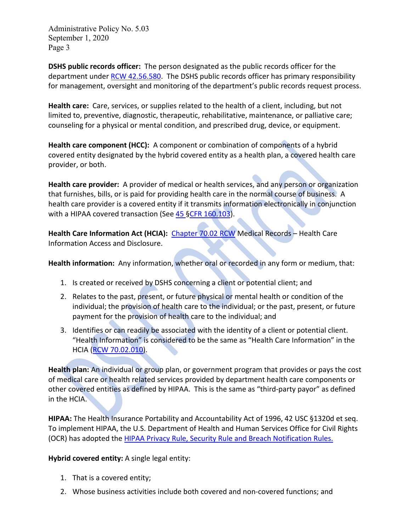**DSHS public records officer:** The person designated as the public records officer for the department under [RCW 42.56.580.](https://www.google.com/url?sa=t&rct=j&q=&esrc=s&source=web&cd=1&cad=rja&uact=8&ved=0CB4QFjAA&url=http%3A%2F%2Fapp.leg.wa.gov%2Frcw%2Fdefault.aspx%3Fcite%3D42.56.580&ei=07JbVJ-0Nsu5ogSEroDQCg&usg=AFQjCNHeslthsvg-fGW3k7LCRwCnODPKug&bvm=bv.79184187,bs.1,d.cGE) The DSHS public records officer has primary responsibility for management, oversight and monitoring of the department's public records request process.

**Health care:** Care, services, or supplies related to the health of a client, including, but not limited to, preventive, diagnostic, therapeutic, rehabilitative, maintenance, or palliative care; counseling for a physical or mental condition, and prescribed drug, device, or equipment.

**Health care component (HCC):** A component or combination of components of a hybrid covered entity designated by the hybrid covered entity as a health plan, a covered health care provider, or both.

**Health care provider:** A provider of medical or health services, and any person or organization that furnishes, bills, or is paid for providing health care in the normal course of business. A health care provider is a covered entity if it transmits information electronically in conjunction with a HIPAA covered transaction (See [45 §CFR 160.103\)](https://www.ecfr.gov/cgi-bin/text-idx?SID=b1e1645e3e0cfe688cf0b1522062dcd8&mc=true&node=se45.2.160_1103&rgn=div8).

Health Care Information Act (HCIA): [Chapter 70.02 RCW](https://app.leg.wa.gov/RCW/default.aspx?cite=70.02&full=true) Medical Records - Health Care Information Access and Disclosure.

**Health information:** Any information, whether oral or recorded in any form or medium, that:

- 1. Is created or received by DSHS concerning a client or potential client; and
- 2. Relates to the past, present, or future physical or mental health or condition of the individual; the provision of health care to the individual; or the past, present, or future payment for the provision of health care to the individual; and
- 3. Identifies or can readily be associated with the identity of a client or potential client. "Health Information" is considered to be the same as "Health Care Information" in the HCIA [\(RCW 70.02.010\)](http://app.leg.wa.gov/RCW/default.aspx?cite=70.02.010).

**Health plan:** An individual or group plan, or government program that provides or pays the cost of medical care or health related services provided by department health care components or other covered entities as defined by HIPAA. This is the same as "third-party payor" as defined in the HCIA.

**HIPAA:** The Health Insurance Portability and Accountability Act of 1996, 42 USC §1320d et seq. To implement HIPAA, the U.S. Department of Health and Human Services Office for Civil Rights (OCR) has adopted the [HIPAA Privacy Rule, Security Rule and Breach Notification Rules.](https://www.ecfr.gov/cgi-bin/text-idx?gp=&SID=6dd161ddba1daccd8a832e3b49daaa65&mc=true&tpl=/ecfrbrowse/Title45/45CsubchapC.tpl)

**Hybrid covered entity:** A single legal entity:

- 1. That is a covered entity;
- 2. Whose business activities include both covered and non-covered functions; and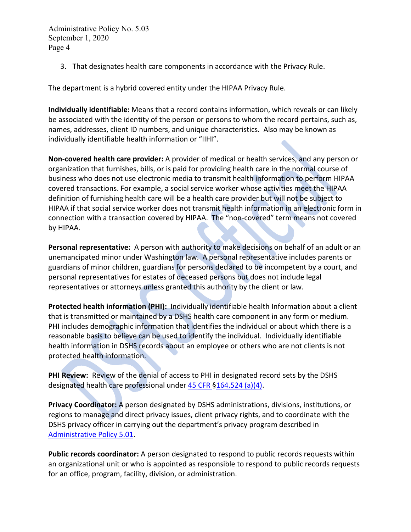3. That designates health care components in accordance with the Privacy Rule.

The department is a hybrid covered entity under the HIPAA Privacy Rule.

**Individually identifiable:** Means that a record contains information, which reveals or can likely be associated with the identity of the person or persons to whom the record pertains, such as, names, addresses, client ID numbers, and unique characteristics. Also may be known as individually identifiable health information or "IIHI".

**Non-covered health care provider:** A provider of medical or health services, and any person or organization that furnishes, bills, or is paid for providing health care in the normal course of business who does not use electronic media to transmit health information to perform HIPAA covered transactions. For example, a social service worker whose activities meet the HIPAA definition of furnishing health care will be a health care provider but will not be subject to HIPAA if that social service worker does not transmit health information in an electronic form in connection with a transaction covered by HIPAA. The "non-covered" term means not covered by HIPAA.

**Personal representative:** A person with authority to make decisions on behalf of an adult or an unemancipated minor under Washington law. A personal representative includes parents or guardians of minor children, guardians for persons declared to be incompetent by a court, and personal representatives for estates of deceased persons but does not include legal representatives or attorneys unless granted this authority by the client or law.

<span id="page-3-0"></span>**Protected health information (PHI):** Individually identifiable health Information about a client that is transmitted or maintained by a DSHS health care component in any form or medium. PHI includes demographic information that identifies the individual or about which there is a reasonable basis to believe can be used to identify the individual. Individually identifiable health information in DSHS records about an employee or others who are not clients is not protected health information.

**PHI Review:** Review of the denial of access to PHI in designated record sets by the DSHS designated health care professional under [45 CFR §164.524 \(a\)\(4\).](https://www.ecfr.gov/cgi-bin/text-idx?SID=b1e1645e3e0cfe688cf0b1522062dcd8&mc=true&node=se45.2.164_1524&rgn=div8)

**Privacy Coordinator:** A person designated by DSHS administrations, divisions, institutions, or regions to manage and direct privacy issues, client privacy rights, and to coordinate with the DSHS privacy officer in carrying out the department's privacy program described in [Administrative Policy 5.01.](http://one.dshs.wa.lcl/Policies/Administrative/DSHS-AP-05-01.pdf)

**Public records coordinator:** A person designated to respond to public records requests within an organizational unit or who is appointed as responsible to respond to public records requests for an office, program, facility, division, or administration.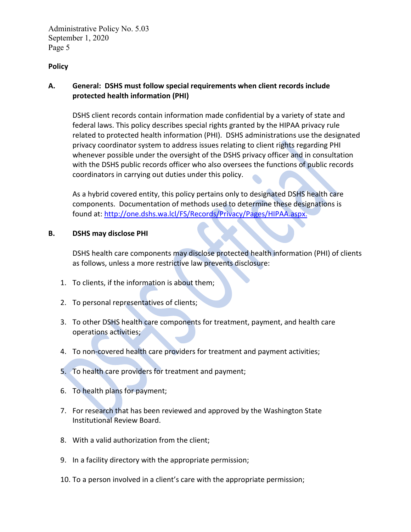### **Policy**

# **A. General: DSHS must follow special requirements when client records include protected health information (PHI)**

DSHS client records contain information made confidential by a variety of state and federal laws. This policy describes special rights granted by the HIPAA privacy rule related to protected health information (PHI). DSHS administrations use the designated privacy coordinator system to address issues relating to client rights regarding PHI whenever possible under the oversight of the DSHS privacy officer and in consultation with the DSHS public records officer who also oversees the functions of public records coordinators in carrying out duties under this policy.

As a hybrid covered entity, this policy pertains only to designated DSHS health care components. Documentation of methods used to determine these designations is found at: [http://one.dshs.wa.lcl/FS/Records/Privacy/Pages/HIPAA.aspx.](http://one.dshs.wa.lcl/FS/Records/Privacy/Pages/HIPAA.aspx)

#### **B. DSHS may disclose PHI**

DSHS health care components may disclose protected health information (PHI) of clients as follows, unless a more restrictive law prevents disclosure:

- 1. To clients, if the information is about them;
- 2. To personal representatives of clients;
- 3. To other DSHS health care components for treatment, payment, and health care operations activities;
- 4. To non-covered health care providers for treatment and payment activities;
- 5. To health care providers for treatment and payment;
- 6. To health plans for payment;
- 7. For research that has been reviewed and approved by the Washington State Institutional Review Board.
- 8. With a valid authorization from the client;
- 9. In a facility directory with the appropriate permission;
- 10. To a person involved in a client's care with the appropriate permission;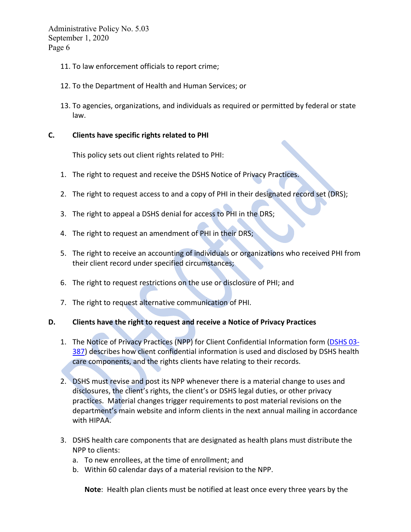- 11. To law enforcement officials to report crime;
- 12. To the Department of Health and Human Services; or
- 13. To agencies, organizations, and individuals as required or permitted by federal or state law.

#### **C. Clients have specific rights related to PHI**

This policy sets out client rights related to PHI:

- 1. The right to request and receive the DSHS Notice of Privacy Practices.
- 2. The right to request access to and a copy of PHI in their designated record set (DRS);
- 3. The right to appeal a DSHS denial for access to PHI in the DRS;
- 4. The right to request an amendment of PHI in their DRS;
- 5. The right to receive an accounting of individuals or organizations who received PHI from their client record under specified circumstances;
- 6. The right to request restrictions on the use or disclosure of PHI; and
- 7. The right to request alternative communication of PHI.

#### **D. Clients have the right to request and receive a Notice of Privacy Practices**

- 1. The Notice of Privacy Practices (NPP) for Client Confidential Information form [\(DSHS 03-](http://forms.dshs.wa.lcl/formDetails.aspx?ID=3584) [387\)](http://forms.dshs.wa.lcl/formDetails.aspx?ID=3584) describes how client confidential information is used and disclosed by DSHS health care components, and the rights clients have relating to their records.
- 2. DSHS must revise and post its NPP whenever there is a material change to uses and disclosures, the client's rights, the client's or DSHS legal duties, or other privacy practices. Material changes trigger requirements to post material revisions on the department's main website and inform clients in the next annual mailing in accordance with HIPAA.
- 3. DSHS health care components that are designated as health plans must distribute the NPP to clients:
	- a. To new enrollees, at the time of enrollment; and
	- b. Within 60 calendar days of a material revision to the NPP.

**Note**: Health plan clients must be notified at least once every three years by the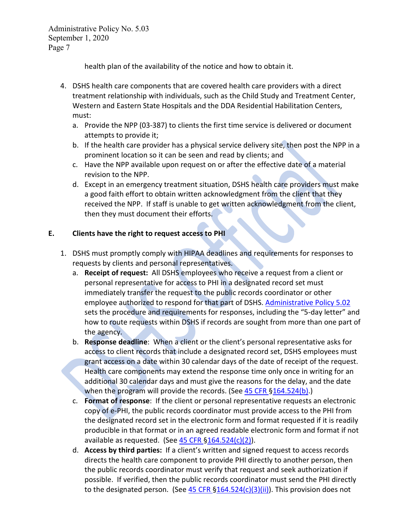health plan of the availability of the notice and how to obtain it.

- 4. DSHS health care components that are covered health care providers with a direct treatment relationship with individuals, such as the Child Study and Treatment Center, Western and Eastern State Hospitals and the DDA Residential Habilitation Centers, must:
	- a. Provide the NPP (03-387) to clients the first time service is delivered or document attempts to provide it;
	- b. If the health care provider has a physical service delivery site, then post the NPP in a prominent location so it can be seen and read by clients; and
	- c. Have the NPP available upon request on or after the effective date of a material revision to the NPP.
	- d. Except in an emergency treatment situation, DSHS health care providers must make a good faith effort to obtain written acknowledgment from the client that they received the NPP. If staff is unable to get written acknowledgment from the client, then they must document their efforts.

# **E. Clients have the right to request access to PHI**

- 1. DSHS must promptly comply with HIPAA deadlines and requirements for responses to requests by clients and personal representatives.
	- a. **Receipt of request:** All DSHS employees who receive a request from a client or personal representative for access to PHI in a designated record set must immediately transfer the request to the public records coordinator or other employee authorized to respond for that part of DSHS. [Administrative Policy 5.02](http://one.dshs.wa.lcl/Policies/Administrative/DSHS-AP-05-02.pdf) sets the procedure and requirements for responses, including the "5-day letter" and how to route requests within DSHS if records are sought from more than one part of the agency.
	- b. **Response deadline**: When a client or the client's personal representative asks for access to client records that include a designated record set, DSHS employees must grant access on a date within 30 calendar days of the date of receipt of the request. Health care components may extend the response time only once in writing for an additional 30 calendar days and must give the reasons for the delay, and the date when the program will provide the records. (See [45 CFR §164.524\(b\).](https://www.ecfr.gov/cgi-bin/text-idx?SID=aee557909a1fb00a83ae931f4cd4e6ea&mc=true&node=pt45.2.164&rgn=div5#se45.2.164_1524))
	- c. **Format of response**: If the client or personal representative requests an electronic copy of e-PHI, the public records coordinator must provide access to the PHI from the designated record set in the electronic form and format requested if it is readily producible in that format or in an agreed readable electronic form and format if not available as requested. (See  $45$  CFR  $$164.524(c)(2)$ ).
	- d. **Access by third parties:** If a client's written and signed request to access records directs the health care component to provide PHI directly to another person, then the public records coordinator must verify that request and seek authorization if possible. If verified, then the public records coordinator must send the PHI directly to the designated person. (See  $45$  CFR  $\S164.524(c)(3)(ii)$ ). This provision does not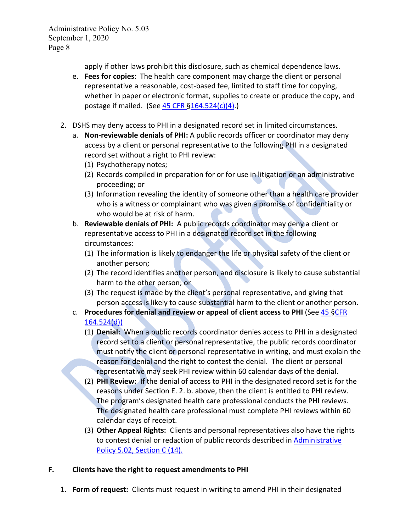apply if other laws prohibit this disclosure, such as chemical dependence laws.

- e. **Fees for copies**: The health care component may charge the client or personal representative a reasonable, cost-based fee, limited to staff time for copying, whether in paper or electronic format, supplies to create or produce the copy, and postage if mailed. (See  $45$  CFR  $$164.524(c)(4)$ .)
- 2. DSHS may deny access to PHI in a designated record set in limited circumstances.
	- a. **Non-reviewable denials of PHI:** A public records officer or coordinator may deny access by a client or personal representative to the following PHI in a designated record set without a right to PHI review:
		- (1) Psychotherapy notes;
		- (2) Records compiled in preparation for or for use in litigation or an administrative proceeding; or
		- (3) Information revealing the identity of someone other than a health care provider who is a witness or complainant who was given a promise of confidentiality or who would be at risk of harm.
	- b. **Reviewable denials of PHI:** A public records coordinator may deny a client or representative access to PHI in a designated record set in the following circumstances:
		- (1) The information is likely to endanger the life or physical safety of the client or another person;
		- (2) The record identifies another person, and disclosure is likely to cause substantial harm to the other person; or
		- (3) The request is made by the client's personal representative, and giving that person access is likely to cause substantial harm to the client or another person.
	- c. **Procedures for denial and review or appeal of client access to PHI** (See [45 §CFR](https://www.ecfr.gov/cgi-bin/text-idx?SID=6dd161ddba1daccd8a832e3b49daaa65&mc=true&node=se45.2.164_1524&rgn=div8)  [164.524\(d\)\)](https://www.ecfr.gov/cgi-bin/text-idx?SID=6dd161ddba1daccd8a832e3b49daaa65&mc=true&node=se45.2.164_1524&rgn=div8)
		- (1) **Denial:** When a public records coordinator denies access to PHI in a designated record set to a client or personal representative, the public records coordinator must notify the client or personal representative in writing, and must explain the reason for denial and the right to contest the denial. The client or personal representative may seek PHI review within 60 calendar days of the denial.
		- (2) **PHI Review:** If the denial of access to PHI in the designated record set is for the reasons under Section E. 2. b. above, then the client is entitled to PHI review. The program's designated health care professional conducts the PHI reviews. The designated health care professional must complete PHI reviews within 60 calendar days of receipt.
		- (3) **Other Appeal Rights:** Clients and personal representatives also have the rights to contest denial or redaction of public records described in **Administrative** [Policy 5.02, Section C](http://one.dshs.wa.lcl/Policies/Administrative/DSHS-AP-05-02.pdf) (14).

# **F. Clients have the right to request amendments to PHI**

1. **Form of request:** Clients must request in writing to amend PHI in their designated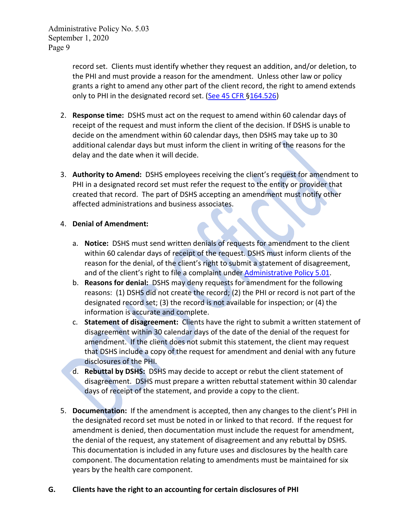record set. Clients must identify whether they request an addition, and/or deletion, to the PHI and must provide a reason for the amendment. Unless other law or policy grants a right to amend any other part of the client record, the right to amend extends only to PHI in the designated record set. [\(See 45 CFR §164.526\)](https://www.ecfr.gov/cgi-bin/retrieveECFR?gp=&SID=6dd161ddba1daccd8a832e3b49daaa65&mc=true&r=SECTION&n=se45.2.164_1526)

- 2. **Response time:** DSHS must act on the request to amend within 60 calendar days of receipt of the request and must inform the client of the decision. If DSHS is unable to decide on the amendment within 60 calendar days, then DSHS may take up to 30 additional calendar days but must inform the client in writing of the reasons for the delay and the date when it will decide.
- 3. **Authority to Amend:** DSHS employees receiving the client's request for amendment to PHI in a designated record set must refer the request to the entity or provider that created that record. The part of DSHS accepting an amendment must notify other affected administrations and business associates.

## 4. **Denial of Amendment:**

- a. **Notice:** DSHS must send written denials of requests for amendment to the client within 60 calendar days of receipt of the request. DSHS must inform clients of the reason for the denial, of the client's right to submit a statement of disagreement, and of the client's right to file a complaint under [Administrative Policy 5.01.](http://one.dshs.wa.lcl/Policies/Administrative/DSHS-AP-05-01.pdf)
- b. **Reasons for denial:** DSHS may deny requests for amendment for the following reasons: (1) DSHS did not create the record; (2) the PHI or record is not part of the designated record set; (3) the record is not available for inspection; or (4) the information is accurate and complete.
- c. **Statement of disagreement:** Clients have the right to submit a written statement of disagreement within 30 calendar days of the date of the denial of the request for amendment. If the client does not submit this statement, the client may request that DSHS include a copy of the request for amendment and denial with any future disclosures of the PHI.
- d. **Rebuttal by DSHS:** DSHS may decide to accept or rebut the client statement of disagreement. DSHS must prepare a written rebuttal statement within 30 calendar days of receipt of the statement, and provide a copy to the client.
- 5. **Documentation:** If the amendment is accepted, then any changes to the client's PHI in the designated record set must be noted in or linked to that record. If the request for amendment is denied, then documentation must include the request for amendment, the denial of the request, any statement of disagreement and any rebuttal by DSHS. This documentation is included in any future uses and disclosures by the health care component. The documentation relating to amendments must be maintained for six years by the health care component.

# **G. Clients have the right to an accounting for certain disclosures of PHI**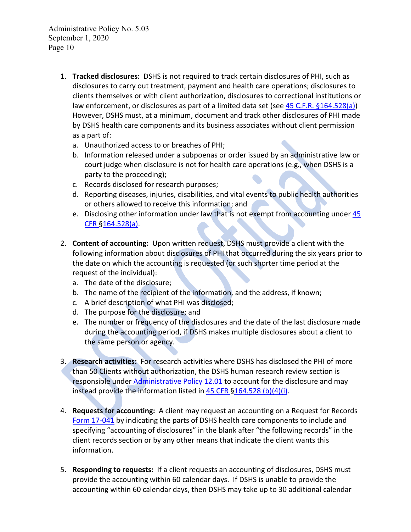- 1. **Tracked disclosures:** DSHS is not required to track certain disclosures of PHI, such as disclosures to carry out treatment, payment and health care operations; disclosures to clients themselves or with client authorization, disclosures to correctional institutions or law enforcement, or disclosures as part of a limited data set (se[e 45 C.F.R. §164.528\(a\)\)](https://www.ecfr.gov/cgi-bin/retrieveECFR?gp=&SID=6dd161ddba1daccd8a832e3b49daaa65&mc=true&r=SECTION&n=se45.2.164_1528) However, DSHS must, at a minimum, document and track other disclosures of PHI made by DSHS health care components and its business associates without client permission as a part of:
	- a. Unauthorized access to or breaches of PHI;
	- b. Information released under a subpoenas or order issued by an administrative law or court judge when disclosure is not for health care operations (e.g., when DSHS is a party to the proceeding);
	- c. Records disclosed for research purposes;
	- d. Reporting diseases, injuries, disabilities, and vital events to public health authorities or others allowed to receive this information; and
	- e. Disclosing other information under law that is not exempt from accounting under 45 [CFR §164.528\(a\).](https://www.ecfr.gov/cgi-bin/text-idx?SID=aee557909a1fb00a83ae931f4cd4e6ea&mc=true&node=pt45.2.164&rgn=div5#se45.2.164_1528)
- 2. **Content of accounting:** Upon written request, DSHS must provide a client with the following information about disclosures of PHI that occurred during the six years prior to the date on which the accounting is requested (or such shorter time period at the request of the individual):
	- a. The date of the disclosure;
	- b. The name of the recipient of the information, and the address, if known;
	- c. A brief description of what PHI was disclosed;
	- d. The purpose for the disclosure; and
	- e. The number or frequency of the disclosures and the date of the last disclosure made during the accounting period, if DSHS makes multiple disclosures about a client to the same person or agency.
- 3. **Research activities:** For research activities where DSHS has disclosed the PHI of more than 50 Clients without authorization, the DSHS human research review section is responsible under [Administrative Policy 12.01](http://one.dshs.wa.lcl/Policies/Administrative/DSHS-AP-12-01.pdf) to account for the disclosure and may instead provide the information listed in [45 CFR §164.528 \(b\)\(4\)\(i\).](https://www.ecfr.gov/cgi-bin/text-idx?SID=aee557909a1fb00a83ae931f4cd4e6ea&mc=true&node=pt45.2.164&rgn=div5#se45.2.164_1528)
- 4. **Requests for accounting:** A client may request an accounting on a Request for Records [Form 17-041](http://forms.dshs.wa.lcl/formDetails.aspx?ID=3672) by indicating the parts of DSHS health care components to include and specifying "accounting of disclosures" in the blank after "the following records" in the client records section or by any other means that indicate the client wants this information.
- 5. **Responding to requests:** If a client requests an accounting of disclosures, DSHS must provide the accounting within 60 calendar days. If DSHS is unable to provide the accounting within 60 calendar days, then DSHS may take up to 30 additional calendar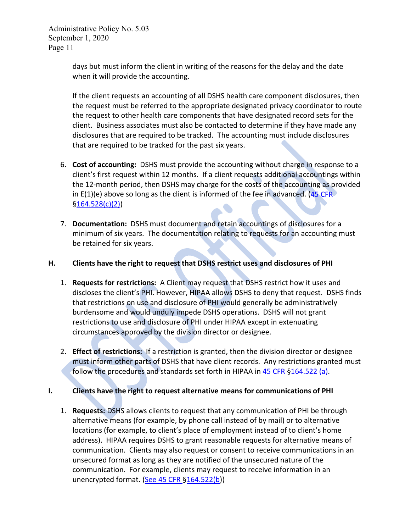> days but must inform the client in writing of the reasons for the delay and the date when it will provide the accounting.

If the client requests an accounting of all DSHS health care component disclosures, then the request must be referred to the appropriate designated privacy coordinator to route the request to other health care components that have designated record sets for the client. Business associates must also be contacted to determine if they have made any disclosures that are required to be tracked. The accounting must include disclosures that are required to be tracked for the past six years.

- 6. **Cost of accounting:** DSHS must provide the accounting without charge in response to a client's first request within 12 months. If a client requests additional accountings within the 12-month period, then DSHS may charge for the costs of the accounting as provided in  $E(1)(e)$  above so long as the client is informed of the fee in advanced. (45 CFR) [§164.528\(c\)\(2\)\)](https://www.ecfr.gov/cgi-bin/retrieveECFR?gp=&SID=6dd161ddba1daccd8a832e3b49daaa65&mc=true&r=SECTION&n=se45.2.164_1528)
- 7. **Documentation:** DSHS must document and retain accountings of disclosures for a minimum of six years. The documentation relating to requests for an accounting must be retained for six years.

## **H. Clients have the right to request that DSHS restrict uses and disclosures of PHI**

- 1. **Requests for restrictions:** A Client may request that DSHS restrict how it uses and discloses the client's PHI. However, HIPAA allows DSHS to deny that request. DSHS finds that restrictions on use and disclosure of PHI would generally be administratively burdensome and would unduly impede DSHS operations. DSHS will not grant restrictions to use and disclosure of PHI under HIPAA except in extenuating circumstances approved by the division director or designee.
- 2. **Effect of restrictions:** If a restriction is granted, then the division director or designee must inform other parts of DSHS that have client records. Any restrictions granted must follow the procedures and standards set forth in HIPAA in [45 CFR §164.522 \(a\).](https://www.ecfr.gov/cgi-bin/text-idx?SID=aee557909a1fb00a83ae931f4cd4e6ea&mc=true&node=pt45.2.164&rgn=div5#se45.2.164_1522)

# **I. Clients have the right to request alternative means for communications of PHI**

1. **Requests:** DSHS allows clients to request that any communication of PHI be through alternative means (for example, by phone call instead of by mail) or to alternative locations (for example, to client's place of employment instead of to client's home address). HIPAA requires DSHS to grant reasonable requests for alternative means of communication. Clients may also request or consent to receive communications in an unsecured format as long as they are notified of the unsecured nature of the communication. For example, clients may request to receive information in an unencrypted format. [\(See 45 CFR §164.522\(b\)](https://www.ecfr.gov/cgi-bin/retrieveECFR?gp=&SID=6dd161ddba1daccd8a832e3b49daaa65&mc=true&r=SECTION&n=se45.2.164_1522))